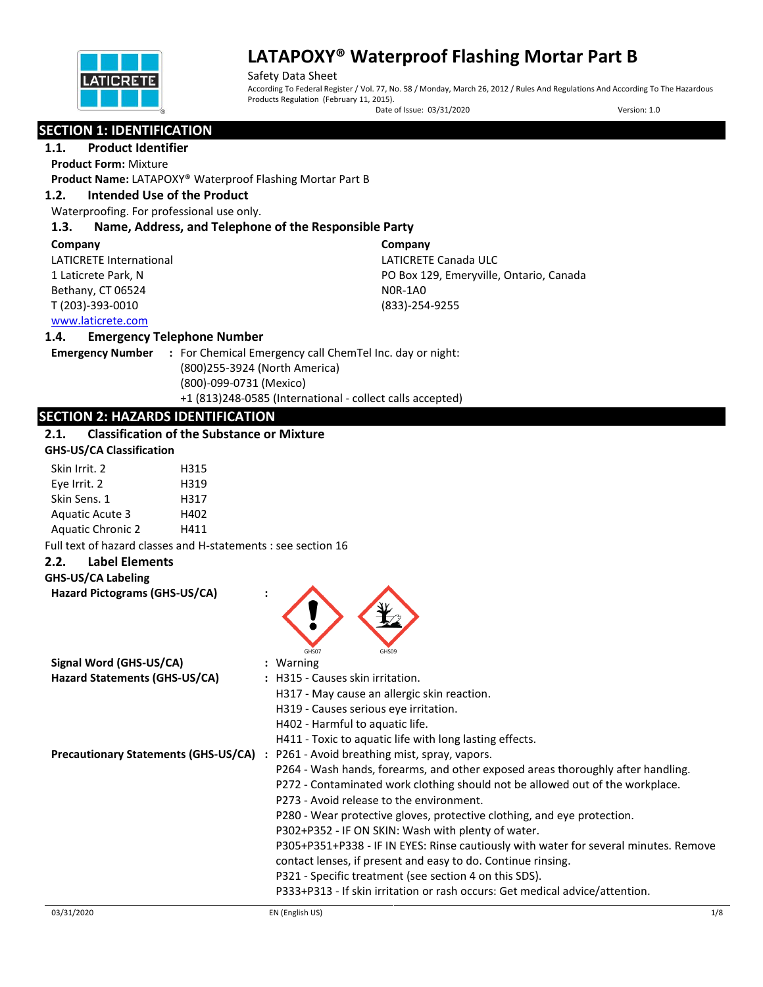

Safety Data Sheet According To Federal Register / Vol. 77, No. 58 / Monday, March 26, 2012 / Rules And Regulations And According To The Hazardous Products Regulation (February 11, 2015).

Date of Issue: 03/31/2020 Version: 1.0

# **SECTION 1: IDENTIFICATION**

## **1.1. Product Identifier**

**Product Form:** Mixture

**Product Name:** LATAPOXY® Waterproof Flashing Mortar Part B

## **1.2. Intended Use of the Product**

Waterproofing. For professional use only.

## **1.3. Name, Address, and Telephone of the Responsible Party**

| Company                               | Company                                 |
|---------------------------------------|-----------------------------------------|
| LATICRETE International               | LATICRETE Canada ULC                    |
| 1 Laticrete Park, N                   | PO Box 129, Emeryville, Ontario, Canada |
| Bethany, CT 06524                     | NOR-1AO                                 |
| T (203)-393-0010                      | $(833)-254-9255$                        |
| الممرسات المتقصصة فقطار ووارد والرواد |                                         |

# [www.laticrete.com](http://www.laticrete.com/)

## **1.4. Emergency Telephone Number**

**Emergency Number :** For Chemical Emergency call ChemTel Inc. day or night: (800)255-3924 (North America) (800)-099-0731 (Mexico) +1 (813)248-0585 (International - collect calls accepted)

## **SECTION 2: HAZARDS IDENTIFICATION**

## **2.1. Classification of the Substance or Mixture**

#### **GHS-US/CA Classification**

| Skin Irrit. 2            | H315 |
|--------------------------|------|
| Eye Irrit. 2             | H319 |
| Skin Sens. 1             | H317 |
| <b>Aquatic Acute 3</b>   | H402 |
| <b>Aquatic Chronic 2</b> | H411 |

Full text of hazard classes and H-statements : see section 16

#### **2.2. Label Elements**

# **GHS-US/CA Labeling**

| Hazard Pictograms (GHS-US/CA) | GHS07                                                                                     |
|-------------------------------|-------------------------------------------------------------------------------------------|
| Signal Word (GHS-US/CA)       | : Warning                                                                                 |
| Hazard Statements (GHS-US/CA) | : H315 - Causes skin irritation.                                                          |
|                               | H317 - May cause an allergic skin reaction.                                               |
|                               | H319 - Causes serious eye irritation.                                                     |
|                               | H402 - Harmful to aquatic life.                                                           |
|                               | H411 - Toxic to aquatic life with long lasting effects.                                   |
|                               | <b>Precautionary Statements (GHS-US/CA)</b> : P261 - Avoid breathing mist, spray, vapors. |
|                               | P264 - Wash hands, forearms, and other exposed areas thoroughly after handling.           |
|                               | P272 - Contaminated work clothing should not be allowed out of the workplace.             |
|                               | P273 - Avoid release to the environment.                                                  |
|                               | P280 - Wear protective gloves, protective clothing, and eye protection.                   |
|                               | P302+P352 - IF ON SKIN: Wash with plenty of water.                                        |
|                               | P305+P351+P338 - IF IN EYES: Rinse cautiously with water for several minutes. Remove      |
|                               | contact lenses, if present and easy to do. Continue rinsing.                              |
|                               | P321 - Specific treatment (see section 4 on this SDS).                                    |
|                               | P333+P313 - If skin irritation or rash occurs: Get medical advice/attention.              |

Â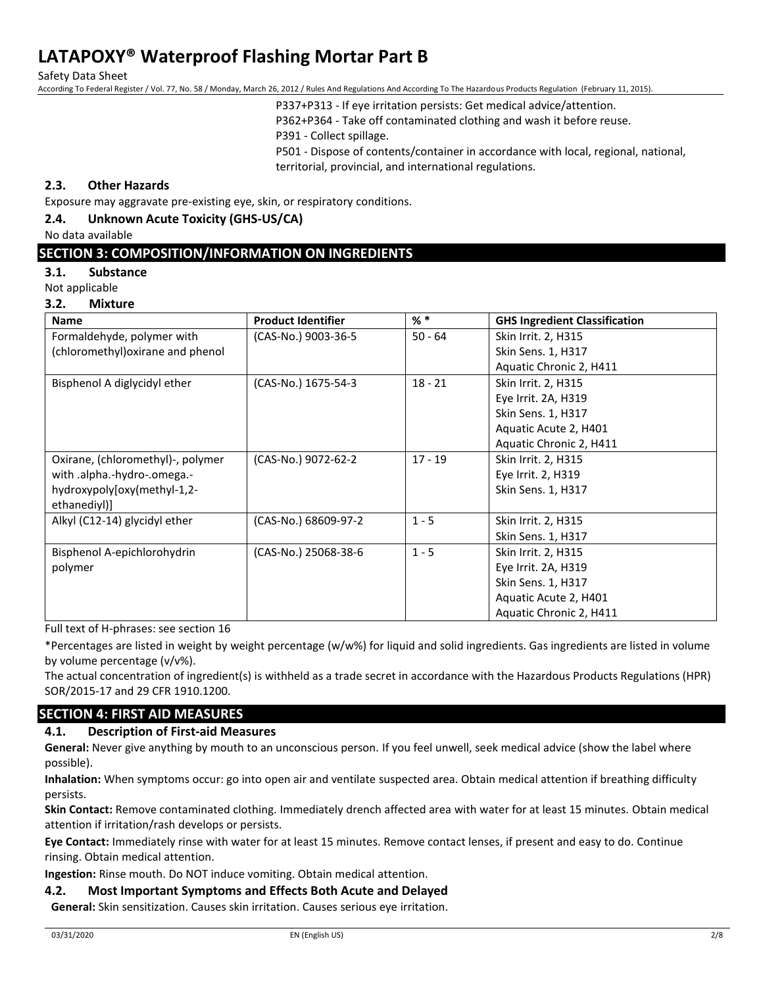Safety Data Sheet

According To Federal Register / Vol. 77, No. 58 / Monday, March 26, 2012 / Rules And Regulations And According To The Hazardous Products Regulation (February 11, 2015).

P337+P313 - If eye irritation persists: Get medical advice/attention.

P362+P364 - Take off contaminated clothing and wash it before reuse.

P391 - Collect spillage.

P501 - Dispose of contents/container in accordance with local, regional, national, territorial, provincial, and international regulations.

## **2.3. Other Hazards**

Exposure may aggravate pre-existing eye, skin, or respiratory conditions.

## **2.4. Unknown Acute Toxicity (GHS-US/CA)**

No data available

## **SECTION 3: COMPOSITION/INFORMATION ON INGREDIENTS**

#### **3.1. Substance**

Not applicable

#### **3.2. Mixture**

| Name                              | <b>Product Identifier</b> | $%$ $*$   | <b>GHS Ingredient Classification</b> |
|-----------------------------------|---------------------------|-----------|--------------------------------------|
| Formaldehyde, polymer with        | (CAS-No.) 9003-36-5       | $50 - 64$ | Skin Irrit. 2, H315                  |
| (chloromethyl) oxirane and phenol |                           |           | Skin Sens. 1, H317                   |
|                                   |                           |           | Aquatic Chronic 2, H411              |
| Bisphenol A diglycidyl ether      | (CAS-No.) 1675-54-3       | $18 - 21$ | Skin Irrit. 2, H315                  |
|                                   |                           |           | Eye Irrit. 2A, H319                  |
|                                   |                           |           | Skin Sens. 1, H317                   |
|                                   |                           |           | Aquatic Acute 2, H401                |
|                                   |                           |           | Aquatic Chronic 2, H411              |
| Oxirane, (chloromethyl)-, polymer | (CAS-No.) 9072-62-2       | $17 - 19$ | Skin Irrit. 2, H315                  |
| with .alpha.-hydro-.omega.-       |                           |           | Eye Irrit. 2, H319                   |
| hydroxypoly[oxy(methyl-1,2-       |                           |           | Skin Sens. 1, H317                   |
| ethanediyl)]                      |                           |           |                                      |
| Alkyl (C12-14) glycidyl ether     | (CAS-No.) 68609-97-2      | $1 - 5$   | Skin Irrit. 2, H315                  |
|                                   |                           |           | Skin Sens. 1, H317                   |
| Bisphenol A-epichlorohydrin       | (CAS-No.) 25068-38-6      | $1 - 5$   | Skin Irrit. 2, H315                  |
| polymer                           |                           |           | Eye Irrit. 2A, H319                  |
|                                   |                           |           | Skin Sens. 1, H317                   |
|                                   |                           |           | Aquatic Acute 2, H401                |
|                                   |                           |           | Aquatic Chronic 2, H411              |

Full text of H-phrases: see section 16

\*Percentages are listed in weight by weight percentage (w/w%) for liquid and solid ingredients. Gas ingredients are listed in volume by volume percentage (v/v%).

The actual concentration of ingredient(s) is withheld as a trade secret in accordance with the Hazardous Products Regulations (HPR) SOR/2015-17 and 29 CFR 1910.1200.

## **SECTION 4: FIRST AID MEASURES**

## **4.1. Description of First-aid Measures**

**General:** Never give anything by mouth to an unconscious person. If you feel unwell, seek medical advice (show the label where possible).

**Inhalation:** When symptoms occur: go into open air and ventilate suspected area. Obtain medical attention if breathing difficulty persists.

**Skin Contact:** Remove contaminated clothing. Immediately drench affected area with water for at least 15 minutes. Obtain medical attention if irritation/rash develops or persists.

**Eye Contact:** Immediately rinse with water for at least 15 minutes. Remove contact lenses, if present and easy to do. Continue rinsing. Obtain medical attention.

**Ingestion:** Rinse mouth. Do NOT induce vomiting. Obtain medical attention.

### **4.2. Most Important Symptoms and Effects Both Acute and Delayed**

**General:** Skin sensitization. Causes skin irritation. Causes serious eye irritation.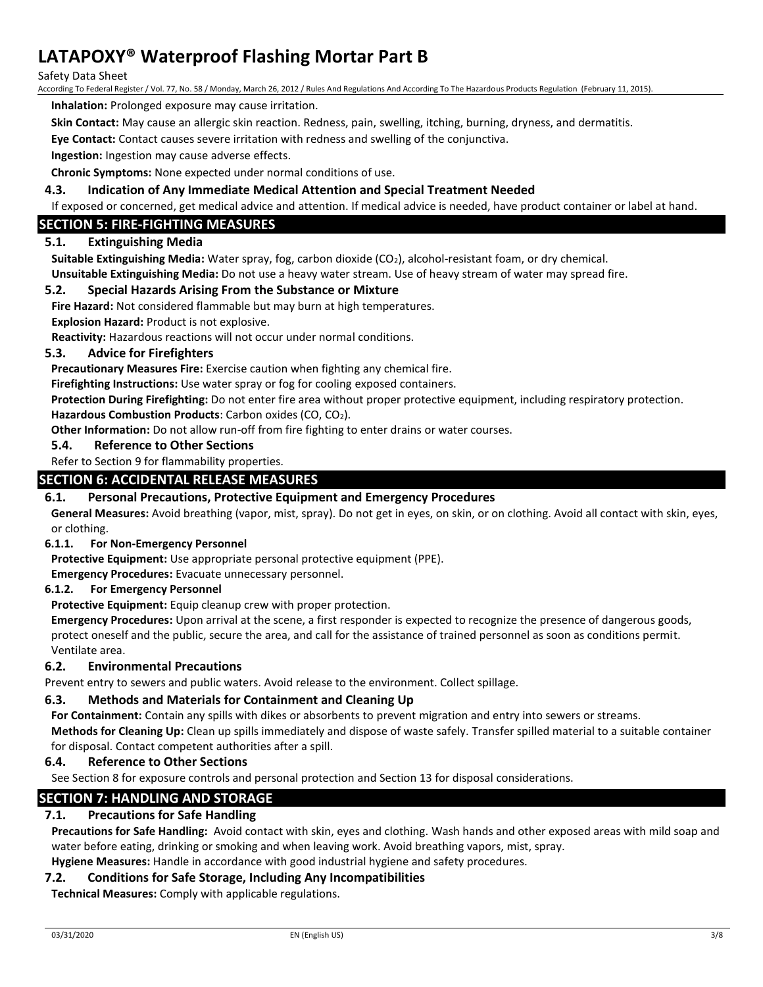Safety Data Sheet

According To Federal Register / Vol. 77, No. 58 / Monday, March 26, 2012 / Rules And Regulations And According To The Hazardous Products Regulation (February 11, 2015).

**Inhalation:** Prolonged exposure may cause irritation.

**Skin Contact:** May cause an allergic skin reaction. Redness, pain, swelling, itching, burning, dryness, and dermatitis.

**Eye Contact:** Contact causes severe irritation with redness and swelling of the conjunctiva.

**Ingestion:** Ingestion may cause adverse effects.

**Chronic Symptoms:** None expected under normal conditions of use.

### **4.3. Indication of Any Immediate Medical Attention and Special Treatment Needed**

If exposed or concerned, get medical advice and attention. If medical advice is needed, have product container or label at hand.

## **SECTION 5: FIRE-FIGHTING MEASURES**

## **5.1. Extinguishing Media**

**Suitable Extinguishing Media:** Water spray, fog, carbon dioxide (CO2), alcohol-resistant foam, or dry chemical. **Unsuitable Extinguishing Media:** Do not use a heavy water stream. Use of heavy stream of water may spread fire.

#### **5.2. Special Hazards Arising From the Substance or Mixture**

**Fire Hazard:** Not considered flammable but may burn at high temperatures.

**Explosion Hazard:** Product is not explosive.

**Reactivity:** Hazardous reactions will not occur under normal conditions.

#### **5.3. Advice for Firefighters**

**Precautionary Measures Fire:** Exercise caution when fighting any chemical fire.

**Firefighting Instructions:** Use water spray or fog for cooling exposed containers.

**Protection During Firefighting:** Do not enter fire area without proper protective equipment, including respiratory protection. **Hazardous Combustion Products**: Carbon oxides (CO, CO2).

**Other Information:** Do not allow run-off from fire fighting to enter drains or water courses.

#### **5.4. Reference to Other Sections**

Refer to Section 9 for flammability properties.

## **SECTION 6: ACCIDENTAL RELEASE MEASURES**

## **6.1. Personal Precautions, Protective Equipment and Emergency Procedures**

**General Measures:** Avoid breathing (vapor, mist, spray). Do not get in eyes, on skin, or on clothing. Avoid all contact with skin, eyes, or clothing.

#### **6.1.1. For Non-Emergency Personnel**

**Protective Equipment:** Use appropriate personal protective equipment (PPE).

**Emergency Procedures:** Evacuate unnecessary personnel.

#### **6.1.2. For Emergency Personnel**

**Protective Equipment:** Equip cleanup crew with proper protection.

**Emergency Procedures:** Upon arrival at the scene, a first responder is expected to recognize the presence of dangerous goods, protect oneself and the public, secure the area, and call for the assistance of trained personnel as soon as conditions permit. Ventilate area.

#### **6.2. Environmental Precautions**

Prevent entry to sewers and public waters. Avoid release to the environment. Collect spillage.

## **6.3. Methods and Materials for Containment and Cleaning Up**

**For Containment:** Contain any spills with dikes or absorbents to prevent migration and entry into sewers or streams.

**Methods for Cleaning Up:** Clean up spills immediately and dispose of waste safely. Transfer spilled material to a suitable container for disposal. Contact competent authorities after a spill.

#### **6.4. Reference to Other Sections**

See Section 8 for exposure controls and personal protection and Section 13 for disposal considerations.

## **SECTION 7: HANDLING AND STORAGE**

## **7.1. Precautions for Safe Handling**

**Precautions for Safe Handling:** Avoid contact with skin, eyes and clothing. Wash hands and other exposed areas with mild soap and water before eating, drinking or smoking and when leaving work. Avoid breathing vapors, mist, spray.

**Hygiene Measures:** Handle in accordance with good industrial hygiene and safety procedures.

#### **7.2. Conditions for Safe Storage, Including Any Incompatibilities**

**Technical Measures:** Comply with applicable regulations.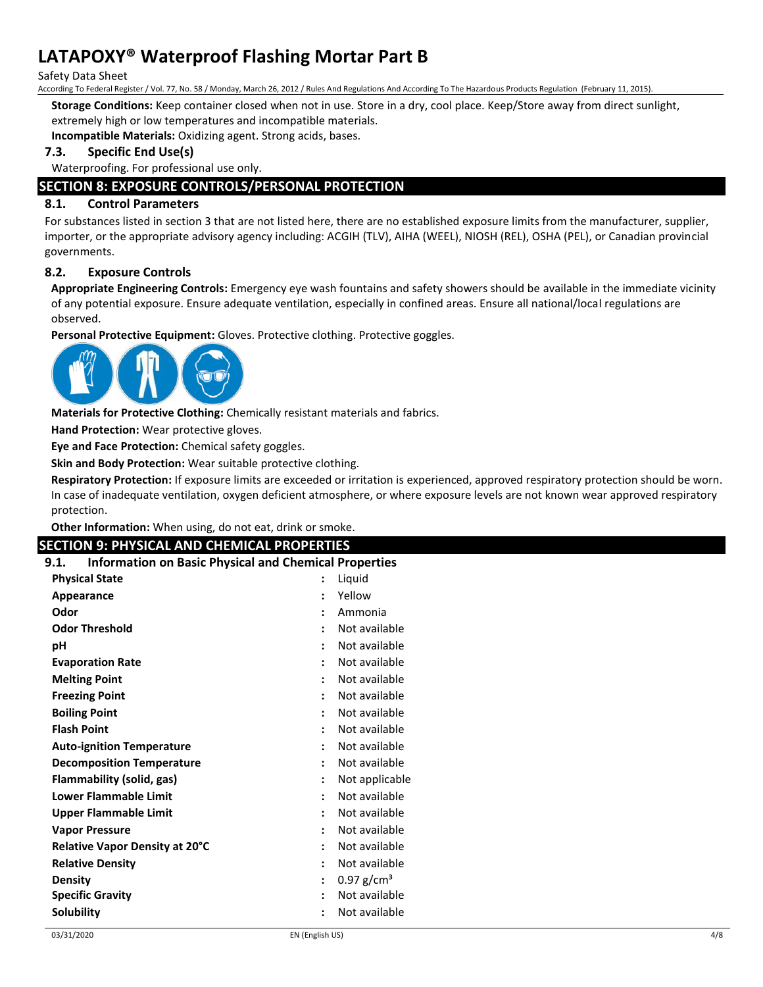Safety Data Sheet

According To Federal Register / Vol. 77, No. 58 / Monday, March 26, 2012 / Rules And Regulations And According To The Hazardous Products Regulation (February 11, 2015).

**Storage Conditions:** Keep container closed when not in use. Store in a dry, cool place. Keep/Store away from direct sunlight, extremely high or low temperatures and incompatible materials.

**Incompatible Materials:** Oxidizing agent. Strong acids, bases.

## **7.3. Specific End Use(s)**

Waterproofing. For professional use only.

## **SECTION 8: EXPOSURE CONTROLS/PERSONAL PROTECTION**

## **8.1. Control Parameters**

For substances listed in section 3 that are not listed here, there are no established exposure limits from the manufacturer, supplier, importer, or the appropriate advisory agency including: ACGIH (TLV), AIHA (WEEL), NIOSH (REL), OSHA (PEL), or Canadian provincial governments.

## **8.2. Exposure Controls**

**Appropriate Engineering Controls:** Emergency eye wash fountains and safety showers should be available in the immediate vicinity of any potential exposure. Ensure adequate ventilation, especially in confined areas. Ensure all national/local regulations are observed.

**Personal Protective Equipment:** Gloves. Protective clothing. Protective goggles.



**Materials for Protective Clothing:** Chemically resistant materials and fabrics.

**Hand Protection:** Wear protective gloves.

**Eye and Face Protection:** Chemical safety goggles.

**Skin and Body Protection:** Wear suitable protective clothing.

**Respiratory Protection:** If exposure limits are exceeded or irritation is experienced, approved respiratory protection should be worn. In case of inadequate ventilation, oxygen deficient atmosphere, or where exposure levels are not known wear approved respiratory protection.

**Other Information:** When using, do not eat, drink or smoke.

## **SECTION 9: PHYSICAL AND CHEMICAL PROPERTIES**

| <b>Information on Basic Physical and Chemical Properties</b><br>9.1. |                      |                          |
|----------------------------------------------------------------------|----------------------|--------------------------|
| <b>Physical State</b>                                                |                      | Liquid                   |
| Appearance                                                           |                      | Yellow                   |
| Odor                                                                 | $\ddot{\cdot}$       | Ammonia                  |
| <b>Odor Threshold</b>                                                | ٠                    | Not available            |
| рH                                                                   |                      | Not available            |
| <b>Evaporation Rate</b>                                              |                      | Not available            |
| <b>Melting Point</b>                                                 | $\ddot{\phantom{a}}$ | Not available            |
| <b>Freezing Point</b>                                                | $\ddot{\cdot}$       | Not available            |
| <b>Boiling Point</b>                                                 |                      | Not available            |
| <b>Flash Point</b>                                                   |                      | Not available            |
| <b>Auto-ignition Temperature</b>                                     | ٠                    | Not available            |
| <b>Decomposition Temperature</b>                                     | $\ddot{\phantom{0}}$ | Not available            |
| Flammability (solid, gas)                                            | $\ddot{\phantom{a}}$ | Not applicable           |
| <b>Lower Flammable Limit</b>                                         |                      | Not available            |
| <b>Upper Flammable Limit</b>                                         |                      | Not available            |
| <b>Vapor Pressure</b>                                                | $\ddot{\phantom{0}}$ | Not available            |
| Relative Vapor Density at 20°C                                       | $\ddot{\phantom{a}}$ | Not available            |
| <b>Relative Density</b>                                              | $\ddot{\cdot}$       | Not available            |
| <b>Density</b>                                                       | ÷                    | $0.97$ g/cm <sup>3</sup> |
| <b>Specific Gravity</b>                                              |                      | Not available            |
| Solubility                                                           |                      | Not available            |
|                                                                      |                      |                          |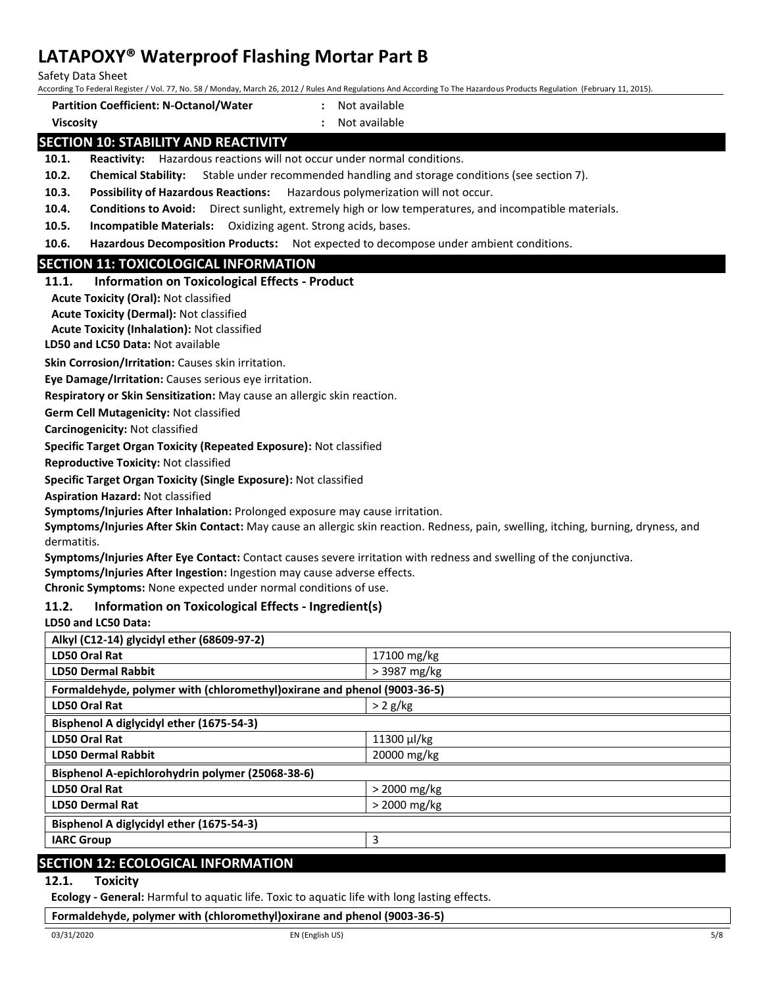Safety Data Sheet

According To Federal Register / Vol. 77, No. 58 / Monday, March 26, 2012 / Rules And Regulations And According To The Hazardous Products Regulation (February 11, 2015).

**Partition Coefficient: N-Octanol/Water :** Not available

# **Viscosity :** Not available

# **SECTION 10: STABILITY AND REACTIVITY**

**10.1. Reactivity:** Hazardous reactions will not occur under normal conditions.

**10.2. Chemical Stability:** Stable under recommended handling and storage conditions (see section 7).

**10.3. Possibility of Hazardous Reactions:** Hazardous polymerization will not occur.

**10.4. Conditions to Avoid:** Direct sunlight, extremely high or low temperatures, and incompatible materials.

**10.5. Incompatible Materials:** Oxidizing agent. Strong acids, bases.

**10.6. Hazardous Decomposition Products:** Not expected to decompose under ambient conditions.

## **SECTION 11: TOXICOLOGICAL INFORMATION**

**11.1. Information on Toxicological Effects - Product**

**Acute Toxicity (Oral):** Not classified

**Acute Toxicity (Dermal):** Not classified

**Acute Toxicity (Inhalation):** Not classified

**LD50 and LC50 Data:** Not available

**Skin Corrosion/Irritation:** Causes skin irritation.

**Eye Damage/Irritation:** Causes serious eye irritation.

**Respiratory or Skin Sensitization:** May cause an allergic skin reaction.

**Germ Cell Mutagenicity:** Not classified

**Carcinogenicity:** Not classified

**Specific Target Organ Toxicity (Repeated Exposure):** Not classified

**Reproductive Toxicity:** Not classified

**Specific Target Organ Toxicity (Single Exposure):** Not classified

**Aspiration Hazard:** Not classified

**Symptoms/Injuries After Inhalation:** Prolonged exposure may cause irritation.

**Symptoms/Injuries After Skin Contact:** May cause an allergic skin reaction. Redness, pain, swelling, itching, burning, dryness, and dermatitis.

**Symptoms/Injuries After Eye Contact:** Contact causes severe irritation with redness and swelling of the conjunctiva.

**Symptoms/Injuries After Ingestion:** Ingestion may cause adverse effects.

**Chronic Symptoms:** None expected under normal conditions of use.

## **11.2. Information on Toxicological Effects - Ingredient(s)**

**LD50 and LC50 Data:**

| Alkyl (C12-14) glycidyl ether (68609-97-2)                               |                |  |
|--------------------------------------------------------------------------|----------------|--|
| LD50 Oral Rat                                                            | 17100 mg/kg    |  |
| <b>LD50 Dermal Rabbit</b>                                                | > 3987 mg/kg   |  |
| Formaldehyde, polymer with (chloromethyl) oxirane and phenol (9003-36-5) |                |  |
| <b>LD50 Oral Rat</b>                                                     | $> 2$ g/kg     |  |
| Bisphenol A diglycidyl ether (1675-54-3)                                 |                |  |
| <b>LD50 Oral Rat</b>                                                     | 11300 µl/kg    |  |
| <b>LD50 Dermal Rabbit</b>                                                | 20000 mg/kg    |  |
| Bisphenol A-epichlorohydrin polymer (25068-38-6)                         |                |  |
| LD50 Oral Rat                                                            | $>$ 2000 mg/kg |  |
| <b>LD50 Dermal Rat</b>                                                   | $>$ 2000 mg/kg |  |
| Bisphenol A diglycidyl ether (1675-54-3)                                 |                |  |
| <b>IARC Group</b>                                                        | 3              |  |
|                                                                          |                |  |

## **SECTION 12: ECOLOGICAL INFORMATION**

#### **12.1. Toxicity**

**Ecology - General:** Harmful to aquatic life. Toxic to aquatic life with long lasting effects.

**Formaldehyde, polymer with (chloromethyl)oxirane and phenol (9003-36-5)**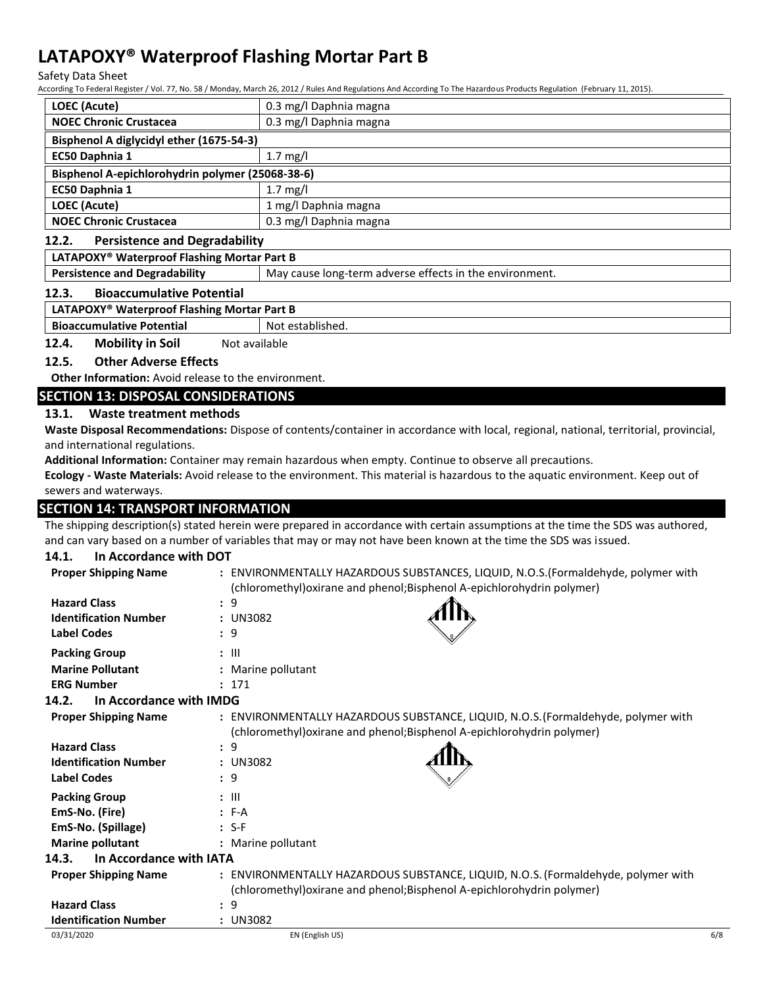Safety Data Sheet

According To Federal Register / Vol. 77, No. 58 / Monday, March 26, 2012 / Rules And Regulations And According To The Hazardous Products Regulation (February 11, 2015).

| LOEC (Acute)                                     | 0.3 mg/l Daphnia magna |  |
|--------------------------------------------------|------------------------|--|
| <b>NOEC Chronic Crustacea</b>                    | 0.3 mg/l Daphnia magna |  |
| Bisphenol A diglycidyl ether (1675-54-3)         |                        |  |
| EC50 Daphnia 1                                   | $1.7$ mg/l             |  |
| Bisphenol A-epichlorohydrin polymer (25068-38-6) |                        |  |
|                                                  |                        |  |
| EC50 Daphnia 1                                   | 1.7 mg/l               |  |
| LOEC (Acute)                                     | 1 mg/l Daphnia magna   |  |

#### **12.2. Persistence and Degradability**

#### **LATAPOXY® Waterproof Flashing Mortar Part B**

**Persistence and Degradability** May cause long-term adverse effects in the environment.

#### **12.3. Bioaccumulative Potential**

#### **LATAPOXY® Waterproof Flashing Mortar Part B**

**Bioaccumulative Potential Rightary Research Rightary Potential Rightary Rightary Rightary Rightary Rightary Rightary Rightary Rightary Rightary Rightary Rightary Rightary Rightary Rightary Rightary Rightary Rightary Right** 

#### **12.4.** Mobility in Soil Not available

#### **12.5. Other Adverse Effects**

**Other Information:** Avoid release to the environment.

#### **SECTION 13: DISPOSAL CONSIDERATIONS**

#### **13.1. Waste treatment methods**

**Waste Disposal Recommendations:** Dispose of contents/container in accordance with local, regional, national, territorial, provincial, and international regulations.

**Additional Information:** Container may remain hazardous when empty. Continue to observe all precautions.

**Ecology - Waste Materials:** Avoid release to the environment. This material is hazardous to the aquatic environment. Keep out of sewers and waterways.

## **SECTION 14: TRANSPORT INFORMATION**

The shipping description(s) stated herein were prepared in accordance with certain assumptions at the time the SDS was authored, and can vary based on a number of variables that may or may not have been known at the time the SDS was issued.

#### **14.1. In Accordance with DOT**

| <b>Proper Shipping Name</b>                         | : ENVIRONMENTALLY HAZARDOUS SUBSTANCES, LIQUID, N.O.S.(Formaldehyde, polymer with<br>(chloromethyl) oxirane and phenol; Bisphenol A-epichlorohydrin polymer) |     |
|-----------------------------------------------------|--------------------------------------------------------------------------------------------------------------------------------------------------------------|-----|
| <b>Hazard Class</b><br><b>Identification Number</b> | : 9<br>: UN3082                                                                                                                                              |     |
| <b>Label Codes</b>                                  | $\therefore$ 9                                                                                                                                               |     |
| <b>Packing Group</b>                                | $: \mathbb{H}$                                                                                                                                               |     |
| <b>Marine Pollutant</b>                             | : Marine pollutant                                                                                                                                           |     |
| <b>ERG Number</b>                                   | : 171                                                                                                                                                        |     |
| In Accordance with IMDG<br>14.2.                    |                                                                                                                                                              |     |
| <b>Proper Shipping Name</b>                         | : ENVIRONMENTALLY HAZARDOUS SUBSTANCE, LIQUID, N.O.S. (Formaldehyde, polymer with<br>(chloromethyl) oxirane and phenol; Bisphenol A-epichlorohydrin polymer) |     |
| <b>Hazard Class</b>                                 | : 9                                                                                                                                                          |     |
| <b>Identification Number</b>                        | : UN3082                                                                                                                                                     |     |
| <b>Label Codes</b>                                  | $\therefore$ 9                                                                                                                                               |     |
| <b>Packing Group</b>                                | $\therefore$ $\parallel$                                                                                                                                     |     |
| EmS-No. (Fire)                                      | $: F-A$                                                                                                                                                      |     |
| EmS-No. (Spillage)                                  | $: S-F$                                                                                                                                                      |     |
| <b>Marine pollutant</b>                             | : Marine pollutant                                                                                                                                           |     |
| In Accordance with IATA<br>14.3.                    |                                                                                                                                                              |     |
| <b>Proper Shipping Name</b>                         | : ENVIRONMENTALLY HAZARDOUS SUBSTANCE, LIQUID, N.O.S. (Formaldehyde, polymer with<br>(chloromethyl) oxirane and phenol; Bisphenol A-epichlorohydrin polymer) |     |
| <b>Hazard Class</b>                                 | 9<br>$\ddot{\phantom{a}}$                                                                                                                                    |     |
| <b>Identification Number</b>                        | : UN3082                                                                                                                                                     |     |
| 03/31/2020                                          | EN (English US)                                                                                                                                              | 6/8 |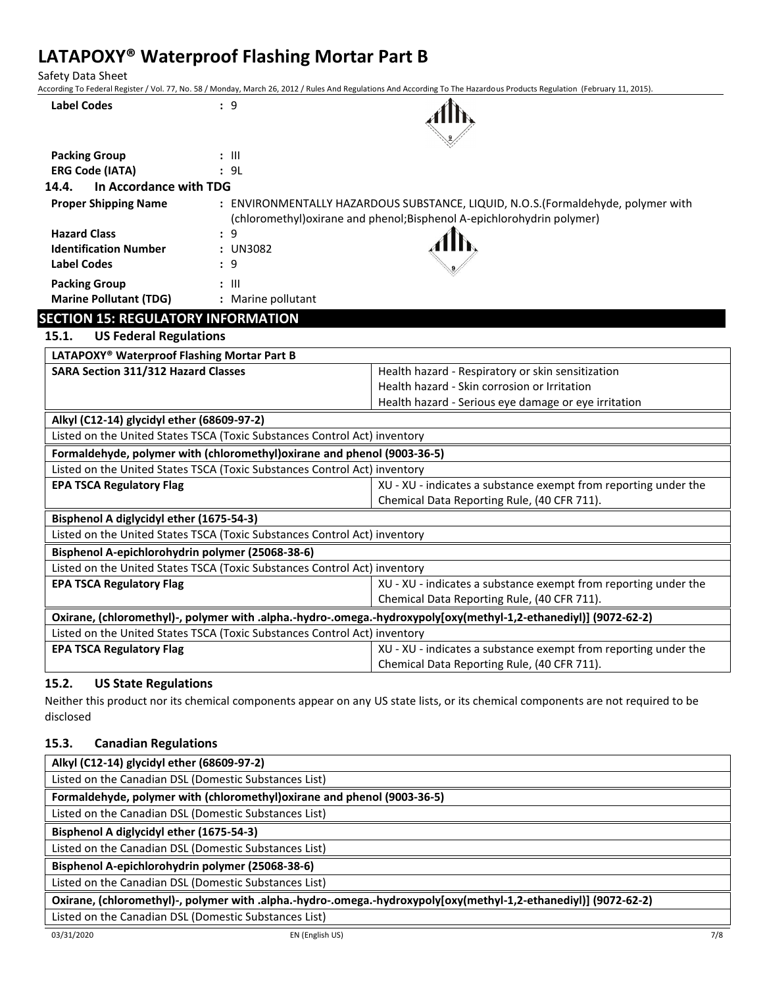Safety Data Sheet

According To Federal Register / Vol. 77, No. 58 / Monday, March 26, 2012 / Rules And Regulations And According To The Hazardous Products Regulation (February 11, 2015).

|                                                  | al hugher / Vol. 77, No. 50 / Monday, March 20, 2012 / Nails And Regulations And According |                                                                                                                  |
|--------------------------------------------------|--------------------------------------------------------------------------------------------|------------------------------------------------------------------------------------------------------------------|
| <b>Label Codes</b>                               | : 9                                                                                        |                                                                                                                  |
|                                                  |                                                                                            |                                                                                                                  |
|                                                  |                                                                                            |                                                                                                                  |
| <b>Packing Group</b>                             | $: \mathbb{H}$                                                                             |                                                                                                                  |
| <b>ERG Code (IATA)</b>                           | : 9L                                                                                       |                                                                                                                  |
| In Accordance with TDG<br>14.4.                  |                                                                                            |                                                                                                                  |
| <b>Proper Shipping Name</b>                      |                                                                                            | : ENVIRONMENTALLY HAZARDOUS SUBSTANCE, LIQUID, N.O.S.(Formaldehyde, polymer with                                 |
|                                                  |                                                                                            | (chloromethyl) oxirane and phenol; Bisphenol A-epichlorohydrin polymer)                                          |
| <b>Hazard Class</b>                              | : 9                                                                                        |                                                                                                                  |
| <b>Identification Number</b>                     | : UN3082                                                                                   |                                                                                                                  |
| <b>Label Codes</b>                               | : 9                                                                                        |                                                                                                                  |
| <b>Packing Group</b>                             | $: \mathbb{H}$                                                                             |                                                                                                                  |
| <b>Marine Pollutant (TDG)</b>                    | : Marine pollutant                                                                         |                                                                                                                  |
| <b>SECTION 15: REGULATORY INFORMATION</b>        |                                                                                            |                                                                                                                  |
| 15.1.<br><b>US Federal Regulations</b>           |                                                                                            |                                                                                                                  |
| LATAPOXY® Waterproof Flashing Mortar Part B      |                                                                                            |                                                                                                                  |
| <b>SARA Section 311/312 Hazard Classes</b>       |                                                                                            | Health hazard - Respiratory or skin sensitization                                                                |
|                                                  |                                                                                            | Health hazard - Skin corrosion or Irritation                                                                     |
|                                                  |                                                                                            | Health hazard - Serious eye damage or eye irritation                                                             |
| Alkyl (C12-14) glycidyl ether (68609-97-2)       |                                                                                            |                                                                                                                  |
|                                                  | Listed on the United States TSCA (Toxic Substances Control Act) inventory                  |                                                                                                                  |
|                                                  | Formaldehyde, polymer with (chloromethyl) oxirane and phenol (9003-36-5)                   |                                                                                                                  |
|                                                  | Listed on the United States TSCA (Toxic Substances Control Act) inventory                  |                                                                                                                  |
| <b>EPA TSCA Regulatory Flag</b>                  |                                                                                            | XU - XU - indicates a substance exempt from reporting under the                                                  |
|                                                  |                                                                                            | Chemical Data Reporting Rule, (40 CFR 711).                                                                      |
| Bisphenol A diglycidyl ether (1675-54-3)         |                                                                                            |                                                                                                                  |
|                                                  | Listed on the United States TSCA (Toxic Substances Control Act) inventory                  |                                                                                                                  |
| Bisphenol A-epichlorohydrin polymer (25068-38-6) |                                                                                            |                                                                                                                  |
|                                                  | Listed on the United States TSCA (Toxic Substances Control Act) inventory                  |                                                                                                                  |
| <b>EPA TSCA Regulatory Flag</b>                  |                                                                                            | XU - XU - indicates a substance exempt from reporting under the                                                  |
|                                                  |                                                                                            | Chemical Data Reporting Rule, (40 CFR 711).                                                                      |
|                                                  |                                                                                            | Oxirane, (chloromethyl)-, polymer with .alpha.-hydro-.omega.-hydroxypoly[oxy(methyl-1,2-ethanediyl)] (9072-62-2) |
|                                                  | Listed on the United States TSCA (Toxic Substances Control Act) inventory                  |                                                                                                                  |
| <b>EPA TSCA Regulatory Flag</b>                  |                                                                                            | XU - XU - indicates a substance exempt from reporting under the                                                  |
|                                                  |                                                                                            | Chemical Data Reporting Rule, (40 CFR 711).                                                                      |
|                                                  |                                                                                            |                                                                                                                  |

# **15.2. US State Regulations**

Neither this product nor its chemical components appear on any US state lists, or its chemical components are not required to be disclosed

## **15.3. Canadian Regulations**

| Alkyl (C12-14) glycidyl ether (68609-97-2)                                                                       |
|------------------------------------------------------------------------------------------------------------------|
| Listed on the Canadian DSL (Domestic Substances List)                                                            |
| Formaldehyde, polymer with (chloromethyl) oxirane and phenol (9003-36-5)                                         |
| Listed on the Canadian DSL (Domestic Substances List)                                                            |
| Bisphenol A diglycidyl ether (1675-54-3)                                                                         |
| Listed on the Canadian DSL (Domestic Substances List)                                                            |
| Bisphenol A-epichlorohydrin polymer (25068-38-6)                                                                 |
| Listed on the Canadian DSL (Domestic Substances List)                                                            |
| Oxirane, (chloromethyl)-, polymer with .alpha.-hydro-.omega.-hydroxypoly[oxy(methyl-1,2-ethanediyl)] (9072-62-2) |
| Listed on the Canadian DSL (Domestic Substances List)                                                            |